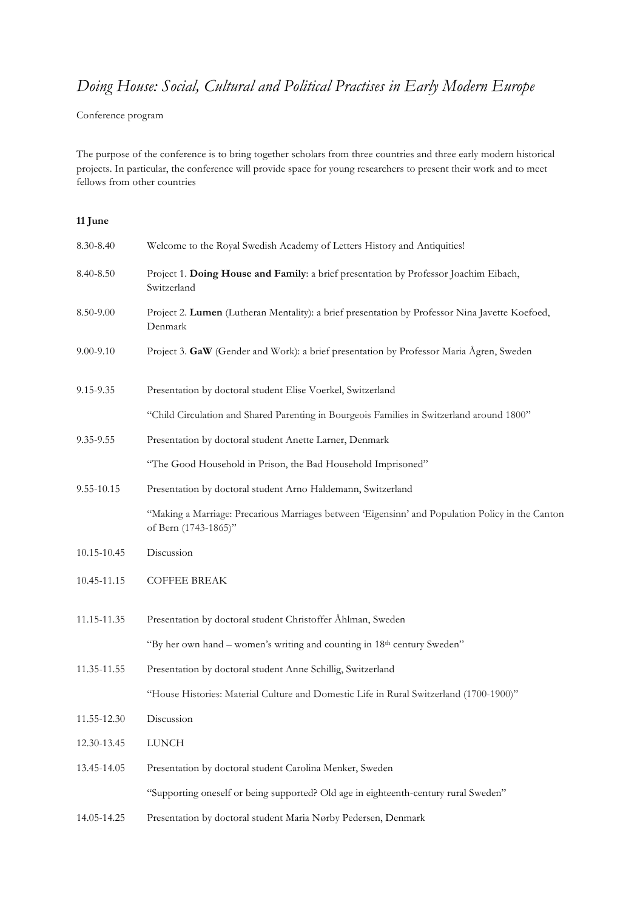## *Doing House: Social, Cultural and Political Practises in Early Modern Europe*

Conference program

The purpose of the conference is to bring together scholars from three countries and three early modern historical projects. In particular, the conference will provide space for young researchers to present their work and to meet fellows from other countries

## **11 June**

| 8.30-8.40       | Welcome to the Royal Swedish Academy of Letters History and Antiquities!                                                 |
|-----------------|--------------------------------------------------------------------------------------------------------------------------|
| 8.40-8.50       | Project 1. Doing House and Family: a brief presentation by Professor Joachim Eibach,<br>Switzerland                      |
| 8.50-9.00       | Project 2. Lumen (Lutheran Mentality): a brief presentation by Professor Nina Javette Koefoed,<br>Denmark                |
| 9.00-9.10       | Project 3. GaW (Gender and Work): a brief presentation by Professor Maria Ågren, Sweden                                  |
| 9.15-9.35       | Presentation by doctoral student Elise Voerkel, Switzerland                                                              |
|                 | "Child Circulation and Shared Parenting in Bourgeois Families in Switzerland around 1800"                                |
| 9.35-9.55       | Presentation by doctoral student Anette Larner, Denmark                                                                  |
|                 | "The Good Household in Prison, the Bad Household Imprisoned"                                                             |
| $9.55 - 10.15$  | Presentation by doctoral student Arno Haldemann, Switzerland                                                             |
|                 | "Making a Marriage: Precarious Marriages between 'Eigensinn' and Population Policy in the Canton<br>of Bern (1743-1865)" |
| 10.15-10.45     | Discussion                                                                                                               |
| 10.45-11.15     | <b>COFFEE BREAK</b>                                                                                                      |
| $11.15 - 11.35$ | Presentation by doctoral student Christoffer Åhlman, Sweden                                                              |
|                 | "By her own hand – women's writing and counting in 18th century Sweden"                                                  |
| 11.35-11.55     | Presentation by doctoral student Anne Schillig, Switzerland                                                              |
|                 | "House Histories: Material Culture and Domestic Life in Rural Switzerland (1700-1900)"                                   |
| 11.55-12.30     | Discussion                                                                                                               |
| 12.30-13.45     | <b>LUNCH</b>                                                                                                             |
| 13.45-14.05     | Presentation by doctoral student Carolina Menker, Sweden                                                                 |
|                 | "Supporting oneself or being supported? Old age in eighteenth-century rural Sweden"                                      |
| 14.05-14.25     | Presentation by doctoral student Maria Nørby Pedersen, Denmark                                                           |